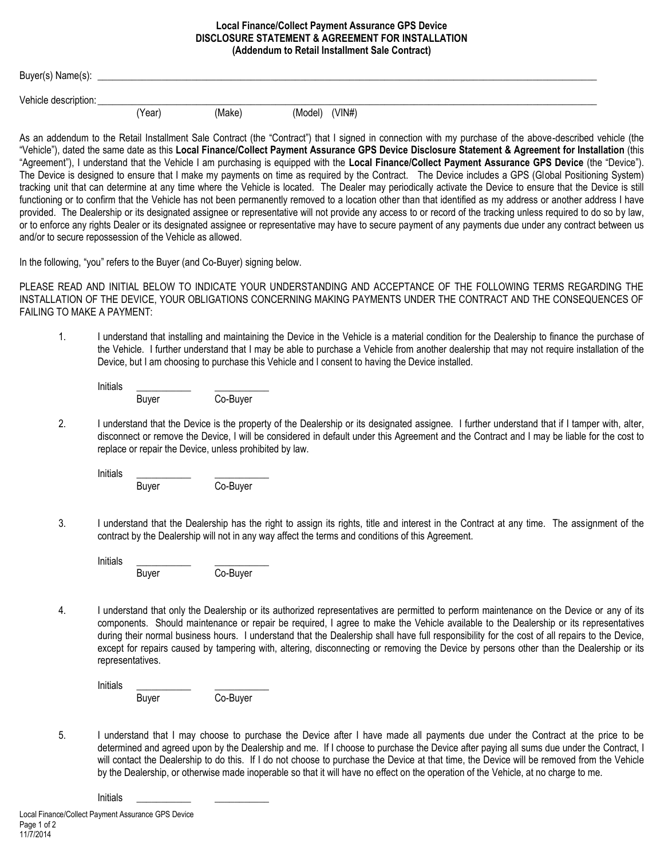## **Local Finance/Collect Payment Assurance GPS Device DISCLOSURE STATEMENT & AGREEMENT FOR INSTALLATION (Addendum to Retail Installment Sale Contract)**

| Buyer(s) Name(s):    |        |        |                |  |  |  |
|----------------------|--------|--------|----------------|--|--|--|
| Vehicle description: |        |        |                |  |  |  |
|                      | (Year) | (Make) | (Model) (VIN#) |  |  |  |

As an addendum to the Retail Installment Sale Contract (the "Contract") that I signed in connection with my purchase of the above-described vehicle (the "Vehicle"), dated the same date as this **Local Finance/Collect Payment Assurance GPS Device Disclosure Statement & Agreement for Installation** (this "Agreement"), I understand that the Vehicle I am purchasing is equipped with the **Local Finance/Collect Payment Assurance GPS Device** (the "Device"). The Device is designed to ensure that I make my payments on time as required by the Contract. The Device includes a GPS (Global Positioning System) tracking unit that can determine at any time where the Vehicle is located. The Dealer may periodically activate the Device to ensure that the Device is still functioning or to confirm that the Vehicle has not been permanently removed to a location other than that identified as my address or another address I have provided. The Dealership or its designated assignee or representative will not provide any access to or record of the tracking unless required to do so by law, or to enforce any rights Dealer or its designated assignee or representative may have to secure payment of any payments due under any contract between us and/or to secure repossession of the Vehicle as allowed.

In the following, "you" refers to the Buyer (and Co-Buyer) signing below.

PLEASE READ AND INITIAL BELOW TO INDICATE YOUR UNDERSTANDING AND ACCEPTANCE OF THE FOLLOWING TERMS REGARDING THE INSTALLATION OF THE DEVICE, YOUR OBLIGATIONS CONCERNING MAKING PAYMENTS UNDER THE CONTRACT AND THE CONSEQUENCES OF FAILING TO MAKE A PAYMENT:

1. I understand that installing and maintaining the Device in the Vehicle is a material condition for the Dealership to finance the purchase of the Vehicle. I further understand that I may be able to purchase a Vehicle from another dealership that may not require installation of the Device, but I am choosing to purchase this Vehicle and I consent to having the Device installed.

| Initials |       |          |
|----------|-------|----------|
|          | Buyer | Co-Buyer |

2. I understand that the Device is the property of the Dealership or its designated assignee. I further understand that if I tamper with, alter, disconnect or remove the Device, I will be considered in default under this Agreement and the Contract and I may be liable for the cost to replace or repair the Device, unless prohibited by law.

Initials \_\_\_\_\_\_\_\_\_\_\_ \_\_\_\_\_\_\_\_\_\_\_

Buyer Co-Buyer

3. I understand that the Dealership has the right to assign its rights, title and interest in the Contract at any time. The assignment of the contract by the Dealership will not in any way affect the terms and conditions of this Agreement.

Initials \_\_\_\_\_\_\_\_\_\_\_ \_\_\_\_\_\_\_\_\_\_\_ Buyer Co-Buyer

4. I understand that only the Dealership or its authorized representatives are permitted to perform maintenance on the Device or any of its components. Should maintenance or repair be required, I agree to make the Vehicle available to the Dealership or its representatives during their normal business hours. I understand that the Dealership shall have full responsibility for the cost of all repairs to the Device, except for repairs caused by tampering with, altering, disconnecting or removing the Device by persons other than the Dealership or its representatives.

Initials \_\_\_\_\_\_\_\_\_\_\_ \_\_\_\_\_\_\_\_\_\_\_ Buyer Co-Buyer

5. I understand that I may choose to purchase the Device after I have made all payments due under the Contract at the price to be determined and agreed upon by the Dealership and me. If I choose to purchase the Device after paying all sums due under the Contract, I will contact the Dealership to do this. If I do not choose to purchase the Device at that time, the Device will be removed from the Vehicle by the Dealership, or otherwise made inoperable so that it will have no effect on the operation of the Vehicle, at no charge to me.

Initials \_\_\_\_\_\_\_\_\_\_\_ \_\_\_\_\_\_\_\_\_\_\_

Local Finance/Collect Payment Assurance GPS Device Page 1 of 2 11/7/2014